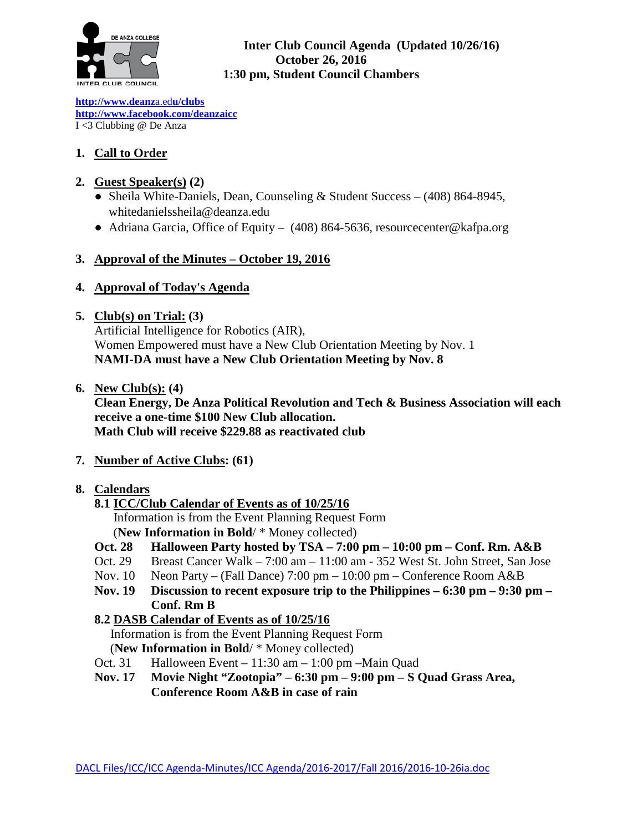

### **Inter Club Council Agenda (Updated 10/26/16) October 26, 2016 1:30 pm, Student Council Chambers**

**[http://www.deanz](http://www.deanza.edu/clubs)**[a.ed](http://www.deanza.edu/clubs)**[u/clubs](http://www.deanza.edu/clubs) [http://www.facebook.com/deanzaicc](http://www.facebook.com/home.php#!/group.php?gid=59034552686)** I <3 Clubbing @ De Anza

# **1. Call to Order**

# **2. Guest Speaker(s) (2)**

- Sheila White-Daniels, Dean, Counseling & Student Success (408) 864-8945, whitedanielssheila@deanza.edu
- Adriana Garcia, Office of Equity (408) 864-5636, [resourcecenter@kafpa.org](mailto:resourcecenter@kafpa.org)

# **3. Approval of the Minutes – October 19, 2016**

# **4. Approval of Today's Agenda**

### **5. Club(s) on Trial: (3)**

Artificial Intelligence for Robotics (AIR), Women Empowered must have a New Club Orientation Meeting by Nov. 1 **NAMI-DA must have a New Club Orientation Meeting by Nov. 8**

**6. New Club(s): (4)**

**Clean Energy, De Anza Political Revolution and Tech & Business Association will each receive a one-time \$100 New Club allocation. Math Club will receive \$229.88 as reactivated club**

**7. Number of Active Clubs: (61)**

# **8. Calendars**

# **8.1 ICC/Club Calendar of Events as of 10/25/16**

 Information is from the Event Planning Request Form (**New Information in Bold**/ \* Money collected)

- **Oct. 28 Halloween Party hosted by TSA – 7:00 pm – 10:00 pm – Conf. Rm. A&B**
- Oct. 29 Breast Cancer Walk 7:00 am 11:00 am 352 West St. John Street, San Jose
- Nov. 10 Neon Party (Fall Dance) 7:00 pm 10:00 pm Conference Room A&B
- **Nov. 19 Discussion to recent exposure trip to the Philippines – 6:30 pm – 9:30 pm – Conf. Rm B**

# **8.2 DASB Calendar of Events as of 10/25/16**

Information is from the Event Planning Request Form (**New Information in Bold**/ \* Money collected)

- Oct. 31 Halloween Event 11:30 am 1:00 pm –Main Quad
- **Nov. 17 Movie Night "Zootopia" – 6:30 pm – 9:00 pm – S Quad Grass Area, Conference Room A&B in case of rain**